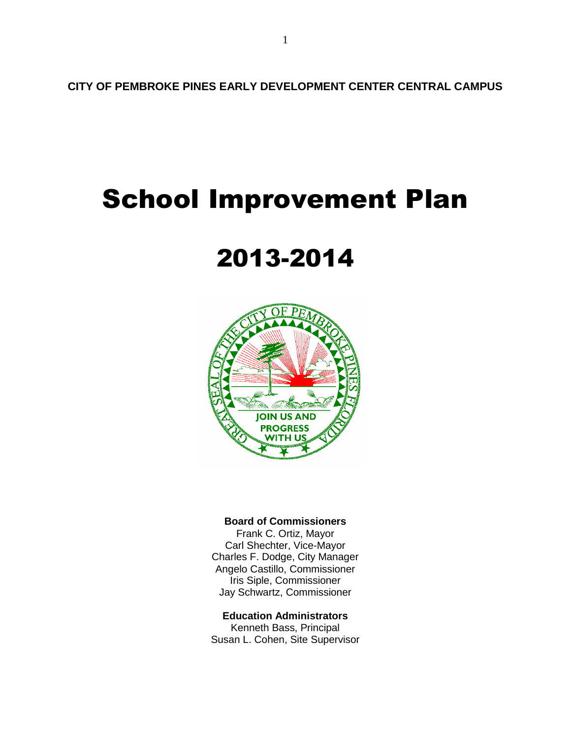**CITY OF PEMBROKE PINES EARLY DEVELOPMENT CENTER CENTRAL CAMPUS**

# School Improvement Plan

# 2013-2014



# **Board of Commissioners**

Frank C. Ortiz, Mayor Carl Shechter, Vice-Mayor Charles F. Dodge, City Manager Angelo Castillo, Commissioner Iris Siple, Commissioner Jay Schwartz, Commissioner

# **Education Administrators**

Kenneth Bass, Principal Susan L. Cohen, Site Supervisor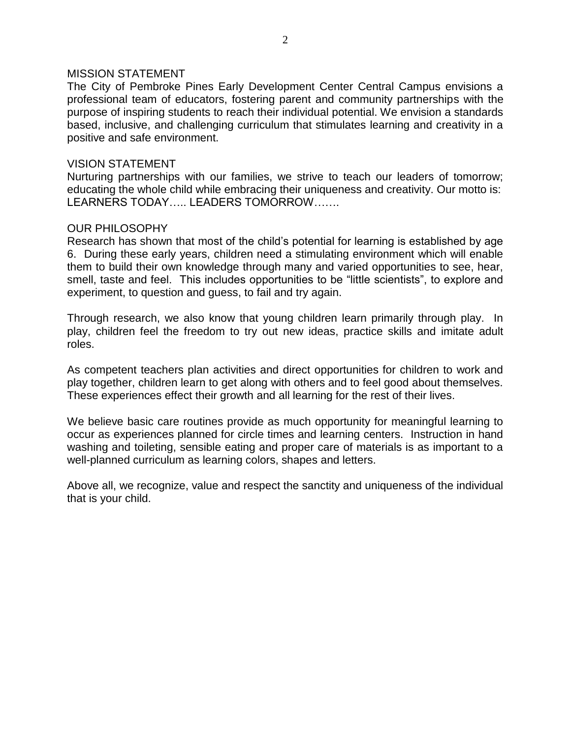### MISSION STATEMENT

The City of Pembroke Pines Early Development Center Central Campus envisions a professional team of educators, fostering parent and community partnerships with the purpose of inspiring students to reach their individual potential. We envision a standards based, inclusive, and challenging curriculum that stimulates learning and creativity in a positive and safe environment.

#### VISION STATEMENT

Nurturing partnerships with our families, we strive to teach our leaders of tomorrow; educating the whole child while embracing their uniqueness and creativity. Our motto is: LEARNERS TODAY….. LEADERS TOMORROW…….

### OUR PHILOSOPHY

Research has shown that most of the child's potential for learning is established by age 6. During these early years, children need a stimulating environment which will enable them to build their own knowledge through many and varied opportunities to see, hear, smell, taste and feel. This includes opportunities to be "little scientists", to explore and experiment, to question and guess, to fail and try again.

Through research, we also know that young children learn primarily through play. In play, children feel the freedom to try out new ideas, practice skills and imitate adult roles.

As competent teachers plan activities and direct opportunities for children to work and play together, children learn to get along with others and to feel good about themselves. These experiences effect their growth and all learning for the rest of their lives.

We believe basic care routines provide as much opportunity for meaningful learning to occur as experiences planned for circle times and learning centers. Instruction in hand washing and toileting, sensible eating and proper care of materials is as important to a well-planned curriculum as learning colors, shapes and letters.

Above all, we recognize, value and respect the sanctity and uniqueness of the individual that is your child.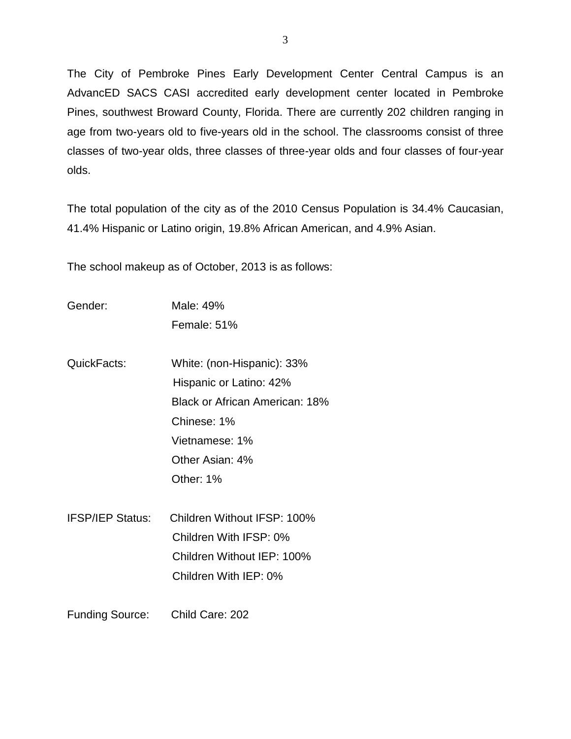The City of Pembroke Pines Early Development Center Central Campus is an AdvancED SACS CASI accredited early development center located in Pembroke Pines, southwest Broward County, Florida. There are currently 202 children ranging in age from two-years old to five-years old in the school. The classrooms consist of three classes of two-year olds, three classes of three-year olds and four classes of four-year olds.

The total population of the city as of the 2010 Census Population is 34.4% Caucasian, 41.4% Hispanic or Latino origin, 19.8% African American, and 4.9% Asian.

The school makeup as of October, 2013 is as follows:

- Gender: Male: 49% Female: 51%
- QuickFacts: White: (non-Hispanic): 33% Hispanic or Latino: 42% Black or African American: 18% Chinese: 1% Vietnamese: 1% Other Asian: 4% Other: 1%
- IFSP/IEP Status: Children Without IFSP: 100% Children With IFSP: 0% Children Without IEP: 100% Children With IEP: 0%
- Funding Source: Child Care: 202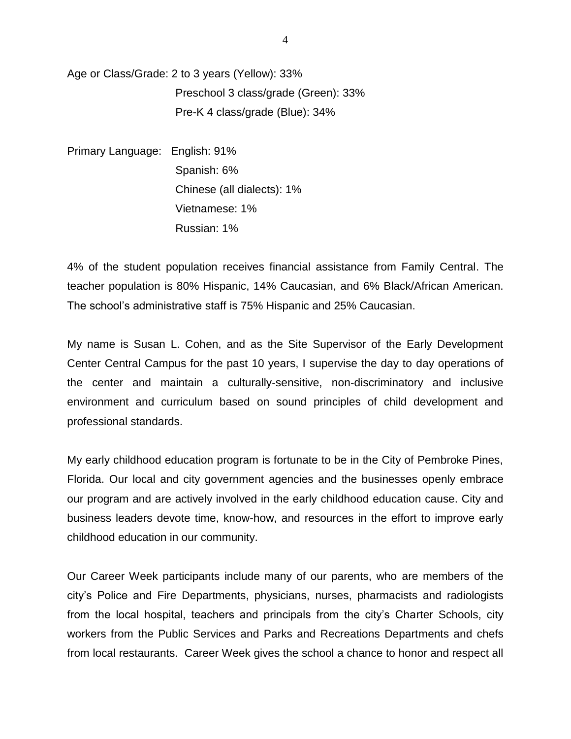Age or Class/Grade: 2 to 3 years (Yellow): 33% Preschool 3 class/grade (Green): 33% Pre-K 4 class/grade (Blue): 34%

Primary Language: English: 91% Spanish: 6% Chinese (all dialects): 1% Vietnamese: 1% Russian: 1%

4% of the student population receives financial assistance from Family Central. The teacher population is 80% Hispanic, 14% Caucasian, and 6% Black/African American. The school's administrative staff is 75% Hispanic and 25% Caucasian.

My name is Susan L. Cohen, and as the Site Supervisor of the Early Development Center Central Campus for the past 10 years, I supervise the day to day operations of the center and maintain a culturally-sensitive, non-discriminatory and inclusive environment and curriculum based on sound principles of child development and professional standards.

My early childhood education program is fortunate to be in the City of Pembroke Pines, Florida. Our local and city government agencies and the businesses openly embrace our program and are actively involved in the early childhood education cause. City and business leaders devote time, know-how, and resources in the effort to improve early childhood education in our community.

Our Career Week participants include many of our parents, who are members of the city's Police and Fire Departments, physicians, nurses, pharmacists and radiologists from the local hospital, teachers and principals from the city's Charter Schools, city workers from the Public Services and Parks and Recreations Departments and chefs from local restaurants. Career Week gives the school a chance to honor and respect all